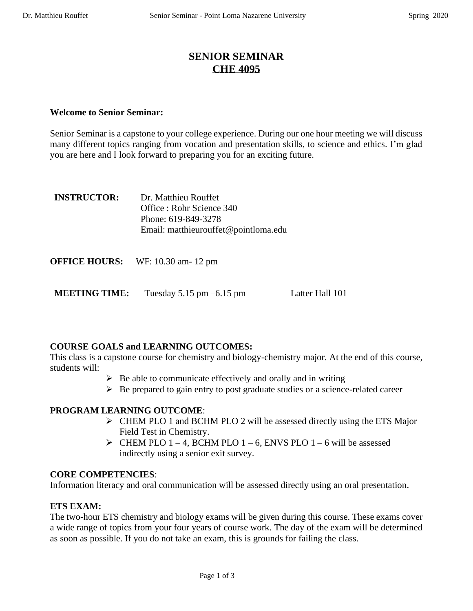# **SENIOR SEMINAR CHE 4095**

## **Welcome to Senior Seminar:**

Senior Seminar is a capstone to your college experience. During our one hour meeting we will discuss many different topics ranging from vocation and presentation skills, to science and ethics. I'm glad you are here and I look forward to preparing you for an exciting future.

| <b>INSTRUCTOR:</b> | Dr. Matthieu Rouffet                 |
|--------------------|--------------------------------------|
|                    | Office : Rohr Science 340            |
|                    | Phone: 619-849-3278                  |
|                    | Email: matthieurouffet@pointloma.edu |
|                    |                                      |

| <b>OFFICE HOURS:</b> | WF: 10.30 am- 12 pm |
|----------------------|---------------------|
|----------------------|---------------------|

**MEETING TIME:** Tuesday 5.15 pm –6.15 pm Latter Hall 101

## **COURSE GOALS and LEARNING OUTCOMES:**

This class is a capstone course for chemistry and biology-chemistry major. At the end of this course, students will:

- $\triangleright$  Be able to communicate effectively and orally and in writing
- ➢ Be prepared to gain entry to post graduate studies or a science-related career

## **PROGRAM LEARNING OUTCOME**:

- ➢ CHEM PLO 1 and BCHM PLO 2 will be assessed directly using the ETS Major Field Test in Chemistry.
- $\triangleright$  CHEM PLO 1 4, BCHM PLO 1 6, ENVS PLO 1 6 will be assessed indirectly using a senior exit survey.

#### **CORE COMPETENCIES**:

Information literacy and oral communication will be assessed directly using an oral presentation.

## **ETS EXAM:**

The two-hour ETS chemistry and biology exams will be given during this course. These exams cover a wide range of topics from your four years of course work. The day of the exam will be determined as soon as possible. If you do not take an exam, this is grounds for failing the class.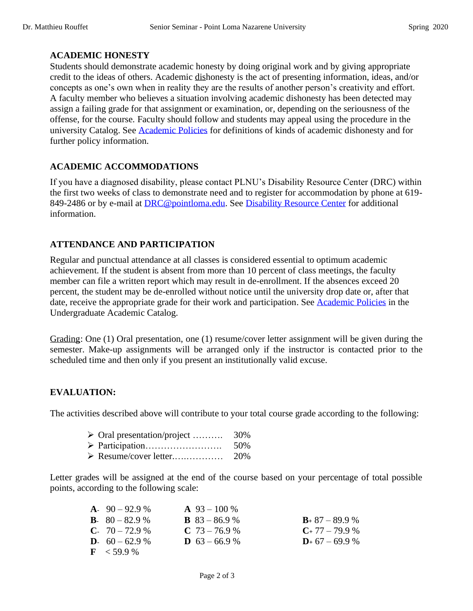#### **ACADEMIC HONESTY**

Students should demonstrate academic honesty by doing original work and by giving appropriate credit to the ideas of others. Academic dishonesty is the act of presenting information, ideas, and/or concepts as one's own when in reality they are the results of another person's creativity and effort. A faculty member who believes a situation involving academic dishonesty has been detected may assign a failing grade for that assignment or examination, or, depending on the seriousness of the offense, for the course. Faculty should follow and students may appeal using the procedure in the university Catalog. See [Academic Policies](http://catalog.pointloma.edu/content.php?catoid=18&navoid=1278) for definitions of kinds of academic dishonesty and for further policy information.

### **ACADEMIC ACCOMMODATIONS**

If you have a diagnosed disability, please contact PLNU's Disability Resource Center (DRC) within the first two weeks of class to demonstrate need and to register for accommodation by phone at 619- 849-2486 or by e-mail at [DRC@pointloma.edu.](mailto:DRC@pointloma.edu) See [Disability Resource Center](http://www.pointloma.edu/experience/offices/administrative-offices/academic-advising-office/disability-resource-center) for additional information.

### **ATTENDANCE AND PARTICIPATION**

Regular and punctual attendance at all classes is considered essential to optimum academic achievement. If the student is absent from more than 10 percent of class meetings, the faculty member can file a written report which may result in de-enrollment. If the absences exceed 20 percent, the student may be de-enrolled without notice until the university drop date or, after that date, receive the appropriate grade for their work and participation. See [Academic Policies](http://catalog.pointloma.edu/content.php?catoid=18&navoid=1278) in the Undergraduate Academic Catalog.

Grading: One (1) Oral presentation, one (1) resume/cover letter assignment will be given during the semester. Make-up assignments will be arranged only if the instructor is contacted prior to the scheduled time and then only if you present an institutionally valid excuse.

## **EVALUATION:**

The activities described above will contribute to your total course grade according to the following:

- ➢ Oral presentation/project ………. 30%
- ➢ Participation……………………. 50%
- ➢ Resume/cover letter.….………… 20%

Letter grades will be assigned at the end of the course based on your percentage of total possible points, according to the following scale:

| $A. 90 - 92.9 %$          | $\mathbf{A}$ 93 – 100 % |                     |
|---------------------------|-------------------------|---------------------|
| <b>B</b> . $80 - 82.9%$   | <b>B</b> $83 - 86.9$ %  | $B_+$ 87 – 89.9 %   |
| $C. 70 - 72.9 %$          | $C$ 73 – 76.9 %         | $C_{+}$ 77 – 79.9 % |
| <b>D</b> . $60 - 62.9 \%$ | <b>D</b> $63 - 66.9$ %  | $D_{+}$ 67 – 69.9 % |
| $F \le 59.9\%$            |                         |                     |